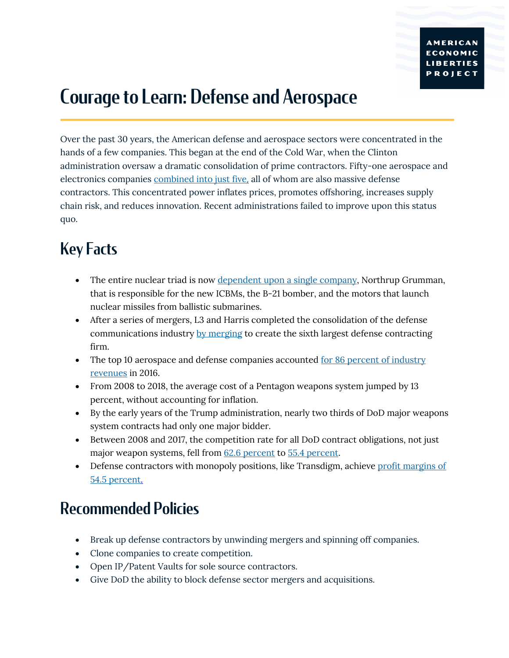## Courage to Learn: Defense and Aerospace

Over the past 30 years, the American defense and aerospace sectors were concentrated in the hands of a few companies. This began at the end of the Cold War, when the Clinton administration oversaw a dramatic consolidation of prime contractors. Fifty-one aerospace and electronics companies combined into just five, all of whom are also massive defense contractors. This concentrated power inflates prices, promotes offshoring, increases supply chain risk, and reduces innovation. Recent administrations failed to improve upon this status quo.

## Key Facts

- The entire nuclear triad is now dependent upon a single company, Northrup Grumman, that is responsible for the new ICBMs, the B-21 bomber, and the motors that launch nuclear missiles from ballistic submarines.
- After a series of mergers, L3 and Harris completed the consolidation of the defense communications industry by merging to create the sixth largest defense contracting firm.
- The top 10 aerospace and defense companies accounted <u>for 86 percent of industry</u> revenues in 2016.
- From 2008 to 2018, the average cost of a Pentagon weapons system jumped by 13 percent, without accounting for inflation.
- By the early years of the Trump administration, nearly two thirds of DoD major weapons system contracts had only one major bidder.
- Between 2008 and 2017, the competition rate for all DoD contract obligations, not just major weapon systems, fell from 62.6 percent to 55.4 percent.
- Defense contractors with monopoly positions, like Transdigm, achieve profit margins of 54.5 percent.

## Recommended Policies

- Break up defense contractors by unwinding mergers and spinning off companies.
- Clone companies to create competition.
- Open IP/Patent Vaults for sole source contractors.
- Give DoD the ability to block defense sector mergers and acquisitions.